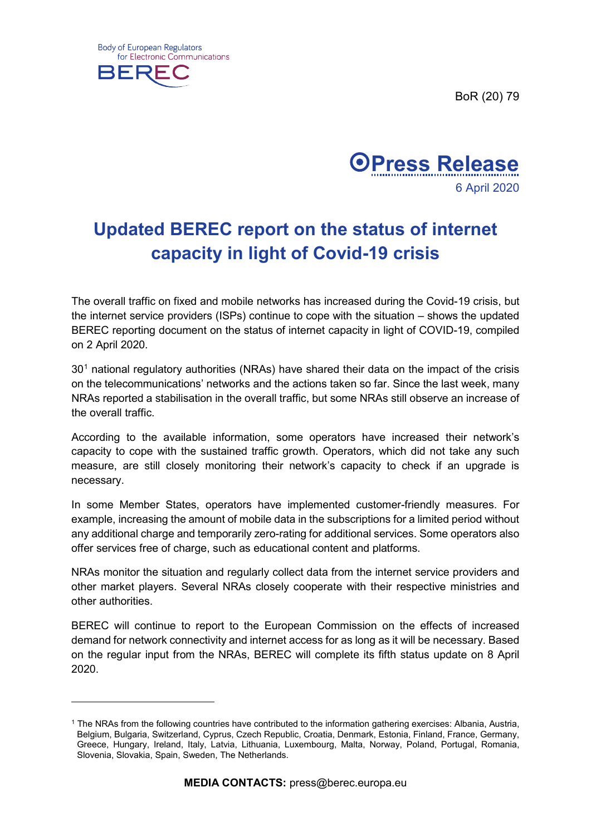BoR (20) 79



-



## **Updated BEREC report on the status of internet capacity in light of Covid-19 crisis**

The overall traffic on fixed and mobile networks has increased during the Covid-19 crisis, but the internet service providers (ISPs) continue to cope with the situation – shows the updated BEREC reporting document on the status of internet capacity in light of COVID-19, compiled on 2 April 2020.

 $30<sup>1</sup>$  $30<sup>1</sup>$  $30<sup>1</sup>$  national regulatory authorities (NRAs) have shared their data on the impact of the crisis on the telecommunications' networks and the actions taken so far. Since the last week, many NRAs reported a stabilisation in the overall traffic, but some NRAs still observe an increase of the overall traffic.

According to the available information, some operators have increased their network's capacity to cope with the sustained traffic growth. Operators, which did not take any such measure, are still closely monitoring their network's capacity to check if an upgrade is necessary.

In some Member States, operators have implemented customer-friendly measures. For example, increasing the amount of mobile data in the subscriptions for a limited period without any additional charge and temporarily zero-rating for additional services. Some operators also offer services free of charge, such as educational content and platforms.

NRAs monitor the situation and regularly collect data from the internet service providers and other market players. Several NRAs closely cooperate with their respective ministries and other authorities.

BEREC will continue to report to the European Commission on the effects of increased demand for network connectivity and internet access for as long as it will be necessary. Based on the regular input from the NRAs, BEREC will complete its fifth status update on 8 April 2020.

<span id="page-0-0"></span><sup>1</sup> The NRAs from the following countries have contributed to the information gathering exercises: Albania, Austria, Belgium, Bulgaria, Switzerland, Cyprus, Czech Republic, Croatia, Denmark, Estonia, Finland, France, Germany, Greece, Hungary, Ireland, Italy, Latvia, Lithuania, Luxembourg, Malta, Norway, Poland, Portugal, Romania, Slovenia, Slovakia, Spain, Sweden, The Netherlands.